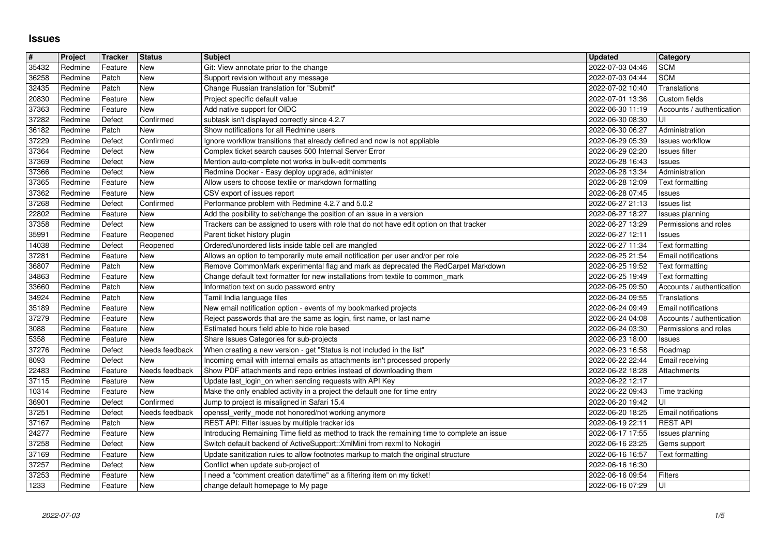## **Issues**

| $\pmb{\#}$     | Project            | <b>Tracker</b>     | <b>Status</b>         | <b>Subject</b>                                                                                                                                                          | <b>Updated</b>                       | <b>Category</b>                           |
|----------------|--------------------|--------------------|-----------------------|-------------------------------------------------------------------------------------------------------------------------------------------------------------------------|--------------------------------------|-------------------------------------------|
| 35432          | Redmine<br>Redmine | Feature<br>Patch   | New<br>New            | Git: View annotate prior to the change<br>Support revision without any message                                                                                          | 2022-07-03 04:46<br>2022-07-03 04:44 | <b>SCM</b><br><b>SCM</b>                  |
| 36258<br>32435 | Redmine            | Patch              | New                   | Change Russian translation for "Submit"                                                                                                                                 | 2022-07-02 10:40                     | Translations                              |
| 20830          | Redmine            | Feature            | New                   | Project specific default value                                                                                                                                          | 2022-07-01 13:36                     | Custom fields                             |
| 37363<br>37282 | Redmine<br>Redmine | Feature<br>Defect  | New<br>Confirmed      | Add native support for OIDC<br>subtask isn't displayed correctly since 4.2.7                                                                                            | 2022-06-30 11:19<br>2022-06-30 08:30 | Accounts / authentication<br>UI           |
| 36182          | Redmine            | Patch              | New                   | Show notifications for all Redmine users                                                                                                                                | 2022-06-30 06:27                     | Administration                            |
| 37229          | Redmine            | Defect             | Confirmed             | Ignore workflow transitions that already defined and now is not appliable                                                                                               | 2022-06-29 05:39                     | Issues workflow                           |
| 37364<br>37369 | Redmine<br>Redmine | Defect<br>Defect   | New<br>New            | Complex ticket search causes 500 Internal Server Error<br>Mention auto-complete not works in bulk-edit comments                                                         | 2022-06-29 02:20<br>2022-06-28 16:43 | <b>Issues filter</b><br>Issues            |
| 37366          | Redmine            | Defect             | New                   | Redmine Docker - Easy deploy upgrade, administer                                                                                                                        | 2022-06-28 13:34                     | Administration                            |
| 37365          | Redmine            | Feature            | New                   | Allow users to choose textile or markdown formatting                                                                                                                    | 2022-06-28 12:09                     | Text formatting                           |
| 37362          | Redmine            | Feature            | New<br>Confirmed      | CSV export of issues report                                                                                                                                             | 2022-06-28 07:45                     | Issues                                    |
| 37268<br>22802 | Redmine<br>Redmine | Defect<br>Feature  | New                   | Performance problem with Redmine 4.2.7 and 5.0.2<br>Add the posibility to set/change the position of an issue in a version                                              | 2022-06-27 21:13<br>2022-06-27 18:27 | <b>Issues list</b><br>Issues planning     |
| 37358          | Redmine            | Defect             | New                   | Trackers can be assigned to users with role that do not have edit option on that tracker                                                                                | 2022-06-27 13:29                     | Permissions and roles                     |
| 35991          | Redmine            | Feature            | Reopened              | Parent ticket history plugin                                                                                                                                            | 2022-06-27 12:11                     | Issues                                    |
| 14038<br>37281 | Redmine<br>Redmine | Defect<br>Feature  | Reopened<br>New       | Ordered/unordered lists inside table cell are mangled<br>Allows an option to temporarily mute email notification per user and/or per role                               | 2022-06-27 11:34<br>2022-06-25 21:54 | Text formatting<br>Email notifications    |
| 36807          | Redmine            | Patch              | New                   | Remove CommonMark experimental flag and mark as deprecated the RedCarpet Markdown                                                                                       | 2022-06-25 19:52                     | Text formatting                           |
| 34863          | Redmine            | Feature            | New                   | Change default text formatter for new installations from textile to common_mark                                                                                         | 2022-06-25 19:49                     | Text formatting                           |
| 33660<br>34924 | Redmine<br>Redmine | Patch<br>Patch     | New<br>New            | Information text on sudo password entry<br>Tamil India language files                                                                                                   | 2022-06-25 09:50<br>2022-06-24 09:55 | Accounts / authentication<br>Translations |
| 35189          | Redmine            | Feature            | New                   | New email notification option - events of my bookmarked projects                                                                                                        | 2022-06-24 09:49                     | Email notifications                       |
| 37279          | Redmine            | Feature            | New                   | Reject passwords that are the same as login, first name, or last name                                                                                                   | 2022-06-24 04:08                     | Accounts / authentication                 |
| 3088           | Redmine            | Feature            | New                   | Estimated hours field able to hide role based                                                                                                                           | 2022-06-24 03:30                     | Permissions and roles                     |
| 5358<br>37276  | Redmine<br>Redmine | Feature<br>Defect  | New<br>Needs feedback | Share Issues Categories for sub-projects<br>When creating a new version - get "Status is not included in the list"                                                      | 2022-06-23 18:00<br>2022-06-23 16:58 | Issues<br>Roadmap                         |
| 8093           | Redmine            | Defect             | New                   | Incoming email with internal emails as attachments isn't processed properly                                                                                             | 2022-06-22 22:44                     | Email receiving                           |
| 22483          | Redmine            | Feature            | Needs feedback        | Show PDF attachments and repo entries instead of downloading them                                                                                                       | 2022-06-22 18:28                     | Attachments                               |
| 37115<br>10314 | Redmine<br>Redmine | Feature<br>Feature | New<br>New            | Update last_login_on when sending requests with API Key<br>Make the only enabled activity in a project the default one for time entry                                   | 2022-06-22 12:17<br>2022-06-22 09:43 | Time tracking                             |
| 36901          | Redmine            | Defect             | Confirmed             | Jump to project is misaligned in Safari 15.4                                                                                                                            | 2022-06-20 19:42                     | l UI                                      |
| 37251          | Redmine            | Defect             | Needs feedback        | openssl_verify_mode not honored/not working anymore                                                                                                                     | 2022-06-20 18:25                     | Email notifications                       |
| 37167          | Redmine            | Patch              | New                   | REST API: Filter issues by multiple tracker ids                                                                                                                         | 2022-06-19 22:11                     | <b>REST API</b>                           |
| 24277<br>37258 | Redmine<br>Redmine | Feature<br>Defect  | New<br>New            | Introducing Remaining Time field as method to track the remaining time to complete an issue<br>Switch default backend of ActiveSupport:: XmlMini from rexml to Nokogiri | 2022-06-17 17:55<br>2022-06-16 23:25 | Issues planning<br>Gems support           |
| 37169          | Redmine            | Feature            | New                   | Update sanitization rules to allow footnotes markup to match the original structure                                                                                     | 2022-06-16 16:57                     | Text formatting                           |
| 37257          | Redmine            | Defect             | New                   | Conflict when update sub-project of                                                                                                                                     | 2022-06-16 16:30                     |                                           |
| 37253<br>1233  | Redmine<br>Redmine | Feature<br>Feature | New<br>New            | I need a "comment creation date/time" as a filtering item on my ticket!<br>change default homepage to My page                                                           | 2022-06-16 09:54<br>2022-06-16 07:29 | Filters<br>∣∪I                            |
|                |                    |                    |                       |                                                                                                                                                                         |                                      |                                           |
|                |                    |                    |                       |                                                                                                                                                                         |                                      |                                           |
|                |                    |                    |                       |                                                                                                                                                                         |                                      |                                           |
|                |                    |                    |                       |                                                                                                                                                                         |                                      |                                           |
|                |                    |                    |                       |                                                                                                                                                                         |                                      |                                           |
|                |                    |                    |                       |                                                                                                                                                                         |                                      |                                           |
|                |                    |                    |                       |                                                                                                                                                                         |                                      |                                           |
|                |                    |                    |                       |                                                                                                                                                                         |                                      |                                           |
|                |                    |                    |                       |                                                                                                                                                                         |                                      |                                           |
|                |                    |                    |                       |                                                                                                                                                                         |                                      |                                           |
|                |                    |                    |                       |                                                                                                                                                                         |                                      |                                           |
|                |                    |                    |                       |                                                                                                                                                                         |                                      |                                           |
|                |                    |                    |                       |                                                                                                                                                                         |                                      |                                           |
|                |                    |                    |                       |                                                                                                                                                                         |                                      |                                           |
|                |                    |                    |                       |                                                                                                                                                                         |                                      |                                           |
|                |                    |                    |                       |                                                                                                                                                                         |                                      |                                           |
|                |                    |                    |                       |                                                                                                                                                                         |                                      |                                           |
|                |                    |                    |                       |                                                                                                                                                                         |                                      |                                           |
|                |                    |                    |                       |                                                                                                                                                                         |                                      |                                           |
|                |                    |                    |                       |                                                                                                                                                                         |                                      |                                           |
|                |                    |                    |                       |                                                                                                                                                                         |                                      |                                           |
|                |                    |                    |                       |                                                                                                                                                                         |                                      |                                           |
|                |                    |                    |                       |                                                                                                                                                                         |                                      |                                           |
|                |                    |                    |                       |                                                                                                                                                                         |                                      |                                           |
|                |                    |                    |                       |                                                                                                                                                                         |                                      |                                           |
|                |                    |                    |                       |                                                                                                                                                                         |                                      |                                           |
|                |                    |                    |                       |                                                                                                                                                                         |                                      |                                           |
|                |                    |                    |                       |                                                                                                                                                                         |                                      |                                           |
|                |                    |                    |                       |                                                                                                                                                                         |                                      |                                           |
|                |                    |                    |                       |                                                                                                                                                                         |                                      |                                           |
|                |                    |                    |                       |                                                                                                                                                                         |                                      |                                           |
|                |                    |                    |                       |                                                                                                                                                                         |                                      |                                           |
|                |                    |                    |                       |                                                                                                                                                                         |                                      |                                           |
|                |                    |                    |                       |                                                                                                                                                                         |                                      |                                           |
|                |                    |                    |                       |                                                                                                                                                                         |                                      |                                           |
|                |                    |                    |                       |                                                                                                                                                                         |                                      |                                           |
|                |                    |                    |                       |                                                                                                                                                                         |                                      |                                           |
|                |                    |                    |                       |                                                                                                                                                                         |                                      |                                           |
|                |                    |                    |                       |                                                                                                                                                                         |                                      |                                           |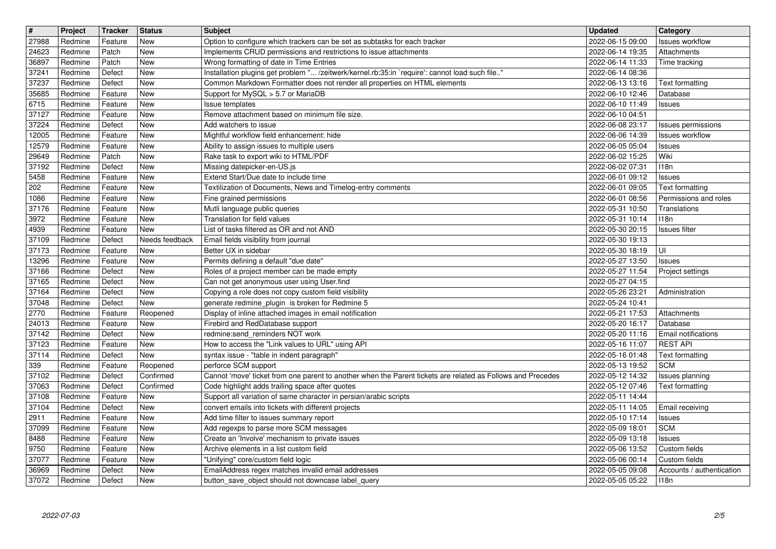| $\overline{\mathbf{t}}$ | Project            | Tracker            | <b>Status</b>            | <b>Subject</b>                                                                                                                                  | <b>Updated</b>                       | <b>Category</b>                   |
|-------------------------|--------------------|--------------------|--------------------------|-------------------------------------------------------------------------------------------------------------------------------------------------|--------------------------------------|-----------------------------------|
| 27988<br>24623          | Redmine<br>Redmine | Feature<br>Patch   | New<br><b>New</b>        | Option to configure which trackers can be set as subtasks for each tracker<br>Implements CRUD permissions and restrictions to issue attachments | 2022-06-15 09:00<br>2022-06-14 19:35 | Issues workflow<br>Attachments    |
| 36897                   | Redmine            | Patch              | <b>New</b>               | Wrong formatting of date in Time Entries                                                                                                        | 2022-06-14 11:33                     | Time tracking                     |
| 37241                   | Redmine            | Defect             | <b>New</b>               | Installation plugins get problem " /zeitwerk/kernel.rb:35:in `require': cannot load such file"                                                  | 2022-06-14 08:36                     |                                   |
| 37237<br>35685          | Redmine<br>Redmine | Defect<br>Feature  | <b>New</b><br><b>New</b> | Common Markdown Formatter does not render all properties on HTML elements<br>Support for MySQL > 5.7 or MariaDB                                 | 2022-06-13 13:16<br>2022-06-10 12:46 | Text formatting<br>Database       |
| 6715                    | Redmine            | Feature            | <b>New</b>               | Issue templates                                                                                                                                 | 2022-06-10 11:49                     | Issues                            |
| 37127                   | Redmine            | Feature            | <b>New</b>               | Remove attachment based on minimum file size.                                                                                                   | 2022-06-10 04:51                     |                                   |
| 37224                   | Redmine            | Defect             | <b>New</b><br>New        | Add watchers to issue                                                                                                                           | 2022-06-08 23:17                     | Issues permissions                |
| 12005<br>12579          | Redmine<br>Redmine | Feature<br>Feature | <b>New</b>               | Mightful workflow field enhancement: hide<br>Ability to assign issues to multiple users                                                         | 2022-06-06 14:39<br>2022-06-05 05:04 | <b>Issues workflow</b><br>Issues  |
| 29649                   | Redmine            | Patch              | <b>New</b>               | Rake task to export wiki to HTML/PDF                                                                                                            | 2022-06-02 15:25                     | Wiki                              |
| 37192                   | Redmine            | Defect             | <b>New</b>               | Missing datepicker-en-US.js                                                                                                                     | 2022-06-02 07:31                     | 118n                              |
| 5458<br>202             | Redmine<br>Redmine | Feature<br>Feature | <b>New</b><br><b>New</b> | Extend Start/Due date to include time<br>Textilization of Documents, News and Timelog-entry comments                                            | 2022-06-01 09:12<br>2022-06-01 09:05 | Issues<br>Text formatting         |
| 1086                    | Redmine            | Feature            | <b>New</b>               | Fine grained permissions                                                                                                                        | 2022-06-01 08:56                     | Permissions and roles             |
| 37176                   | Redmine            | Feature            | <b>New</b>               | Mutli language public queries                                                                                                                   | 2022-05-31 10:50                     | Translations                      |
| 3972<br>4939            | Redmine<br>Redmine | Feature<br>Feature | New<br>New               | Translation for field values<br>List of tasks filtered as OR and not AND                                                                        | 2022-05-31 10:14<br>2022-05-30 20:15 | 118n<br>Issues filter             |
| 37109                   | Redmine            | Defect             | Needs feedback           | Email fields visibility from journal                                                                                                            | 2022-05-30 19:13                     |                                   |
| 37173                   | Redmine            | Feature            | <b>New</b>               | Better UX in sidebar                                                                                                                            | 2022-05-30 18:19                     | UI                                |
| 13296<br>37166          | Redmine<br>Redmine | Feature<br>Defect  | <b>New</b><br><b>New</b> | Permits defining a default "due date"<br>Roles of a project member can be made empty                                                            | 2022-05-27 13:50<br>2022-05-27 11:54 | Issues<br>Project settings        |
| 37165                   | Redmine            | Defect             | <b>New</b>               | Can not get anonymous user using User.find                                                                                                      | 2022-05-27 04:15                     |                                   |
| 37164                   | Redmine            | Defect             | New                      | Copying a role does not copy custom field visibility                                                                                            | 2022-05-26 23:21                     | Administration                    |
| 37048                   | Redmine            | Defect             | <b>New</b>               | generate redmine_plugin is broken for Redmine 5                                                                                                 | 2022-05-24 10:41                     |                                   |
| 2770<br>24013           | Redmine<br>Redmine | Feature<br>Feature | Reopened<br><b>New</b>   | Display of inline attached images in email notification<br>Firebird and RedDatabase support                                                     | 2022-05-21 17:53<br>2022-05-20 16:17 | Attachments<br>Database           |
| 37142                   | Redmine            | Defect             | <b>New</b>               | redmine:send_reminders NOT work                                                                                                                 | 2022-05-20 11:16                     | <b>Email notifications</b>        |
| 37123                   | Redmine            | Feature            | <b>New</b>               | How to access the "Link values to URL" using API                                                                                                | 2022-05-16 11:07                     | <b>REST API</b>                   |
| 37114                   | Redmine            | Defect             | <b>New</b>               | syntax issue - "table in indent paragraph"                                                                                                      | 2022-05-16 01:48                     | Text formatting                   |
| 339<br>37102            | Redmine<br>Redmine | Feature<br>Defect  | Reopened<br>Confirmed    | perforce SCM support<br>Cannot 'move' ticket from one parent to another when the Parent tickets are related as Follows and Precedes             | 2022-05-13 19:52<br>2022-05-12 14:32 | <b>SCM</b><br>Issues planning     |
| 37063                   | Redmine            | Defect             | Confirmed                | Code highlight adds trailing space after quotes                                                                                                 | 2022-05-12 07:46                     | Text formatting                   |
| 37108                   | Redmine            | Feature            | New                      | Support all variation of same character in persian/arabic scripts                                                                               | 2022-05-11 14:44                     |                                   |
| 37104                   | Redmine            | Defect             | <b>New</b>               | convert emails into tickets with different projects                                                                                             | 2022-05-11 14:05                     | Email receiving                   |
| 2911<br>37099           | Redmine<br>Redmine | Feature<br>Feature | <b>New</b><br>New        | Add time filter to issues summary report<br>Add regexps to parse more SCM messages                                                              | 2022-05-10 17:14<br>2022-05-09 18:01 | Issues<br><b>SCM</b>              |
| 8488                    | Redmine            | $F$ eature         | New                      | Create an 'Involve' mechanism to private issues                                                                                                 | 2022-05-09 13:18                     | Issues                            |
| $\sqrt{9750}$           | Redmine            | Feature            | <b>New</b>               | Archive elements in a list custom field                                                                                                         | 2022-05-06 13:52                     | Custom fields                     |
| 37077                   | Redmine            | Feature            | New                      | "Unifying" core/custom field logic                                                                                                              | 2022-05-06 00:14                     | Custom fields                     |
| 36969<br>37072          | Redmine<br>Redmine | Defect<br>Defect   | New<br>New               | EmailAddress regex matches invalid email addresses<br>button_save_object should not downcase label_query                                        | 2022-05-05 09:08<br>2022-05-05 05:22 | Accounts / authentication<br>118n |
| 2022-07-03              |                    |                    |                          |                                                                                                                                                 |                                      |                                   |
|                         |                    |                    |                          |                                                                                                                                                 |                                      |                                   |
|                         |                    |                    |                          |                                                                                                                                                 |                                      |                                   |
|                         |                    |                    |                          |                                                                                                                                                 |                                      |                                   |
|                         |                    |                    |                          |                                                                                                                                                 |                                      |                                   |
|                         |                    |                    |                          |                                                                                                                                                 |                                      |                                   |
|                         |                    |                    |                          |                                                                                                                                                 |                                      |                                   |
|                         |                    |                    |                          |                                                                                                                                                 |                                      |                                   |
|                         |                    |                    |                          |                                                                                                                                                 |                                      |                                   |
|                         |                    |                    |                          |                                                                                                                                                 |                                      |                                   |
|                         |                    |                    |                          |                                                                                                                                                 |                                      |                                   |
|                         |                    |                    |                          |                                                                                                                                                 |                                      |                                   |
|                         |                    |                    |                          |                                                                                                                                                 |                                      |                                   |
|                         |                    |                    |                          |                                                                                                                                                 |                                      |                                   |
|                         |                    |                    |                          |                                                                                                                                                 |                                      |                                   |
|                         |                    |                    |                          |                                                                                                                                                 |                                      |                                   |
|                         |                    |                    |                          |                                                                                                                                                 |                                      |                                   |
|                         |                    |                    |                          |                                                                                                                                                 |                                      |                                   |
|                         |                    |                    |                          |                                                                                                                                                 |                                      |                                   |
|                         |                    |                    |                          |                                                                                                                                                 |                                      |                                   |
|                         |                    |                    |                          |                                                                                                                                                 |                                      |                                   |
|                         |                    |                    |                          |                                                                                                                                                 |                                      |                                   |
|                         |                    |                    |                          |                                                                                                                                                 |                                      |                                   |
|                         |                    |                    |                          |                                                                                                                                                 |                                      |                                   |
|                         |                    |                    |                          |                                                                                                                                                 |                                      |                                   |
|                         |                    |                    |                          |                                                                                                                                                 |                                      |                                   |
|                         |                    |                    |                          |                                                                                                                                                 |                                      |                                   |
|                         |                    |                    |                          |                                                                                                                                                 |                                      |                                   |
|                         |                    |                    |                          |                                                                                                                                                 |                                      |                                   |
|                         |                    |                    |                          |                                                                                                                                                 |                                      |                                   |
|                         |                    |                    |                          |                                                                                                                                                 |                                      |                                   |
|                         |                    |                    |                          |                                                                                                                                                 |                                      |                                   |
|                         |                    |                    |                          |                                                                                                                                                 |                                      |                                   |
|                         |                    |                    |                          |                                                                                                                                                 |                                      |                                   |
|                         |                    |                    |                          |                                                                                                                                                 |                                      |                                   |
|                         |                    |                    |                          |                                                                                                                                                 |                                      |                                   |
|                         |                    |                    |                          |                                                                                                                                                 |                                      |                                   |
|                         |                    |                    |                          |                                                                                                                                                 |                                      |                                   |
|                         |                    |                    |                          |                                                                                                                                                 |                                      |                                   |
|                         |                    |                    |                          |                                                                                                                                                 |                                      |                                   |
|                         |                    |                    |                          |                                                                                                                                                 |                                      |                                   |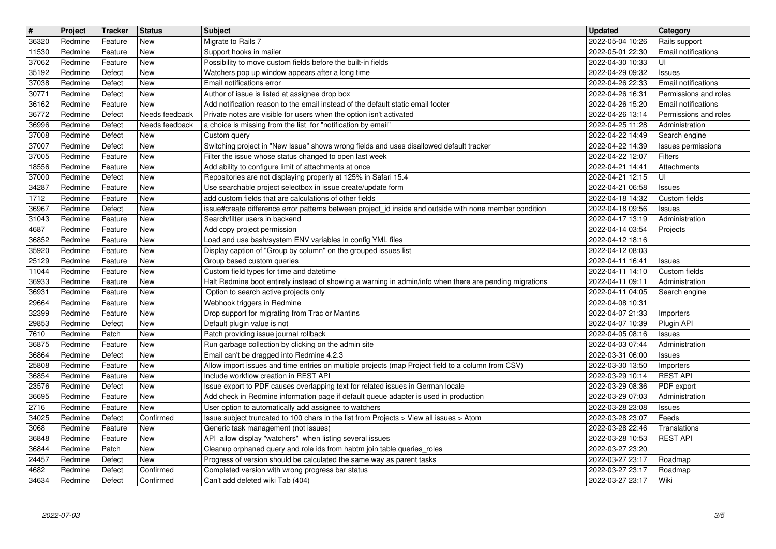| 36320<br>New<br>Migrate to Rails 7<br>2022-05-04 10:26<br>Redmine<br>Feature<br>Rails support<br>Redmine<br>New<br>Support hooks in mailer<br>2022-05-01 22:30<br>11530<br>Feature<br>UI<br>37062<br>New<br>Possibility to move custom fields before the built-in fields<br>2022-04-30 10:33<br>Redmine<br>Feature<br>35192<br>Defect<br>New<br>Watchers pop up window appears after a long time<br>2022-04-29 09:32<br>Redmine<br>Issues<br>37038<br><b>New</b><br>Email notifications error<br>2022-04-26 22:33<br>Redmine<br>Defect<br>30771<br>Defect<br><b>New</b><br>Author of issue is listed at assignee drop box<br>2022-04-26 16:31<br>Redmine<br>36162<br>Add notification reason to the email instead of the default static email footer<br>Redmine<br>Feature<br>New<br>2022-04-26 15:20<br>36772<br>Private notes are visible for users when the option isn't activated<br>Redmine<br>Defect<br>Needs feedback<br>2022-04-26 13:14<br>Needs feedback<br>36996<br>Redmine<br>Defect<br>a choice is missing from the list for "notification by email"<br>2022-04-25 11:28<br>Administration<br>37008<br><b>New</b><br>Redmine<br>Defect<br>Custom query<br>2022-04-22 14:49<br>Search engine<br>37007<br>Defect<br><b>New</b><br>Switching project in "New Issue" shows wrong fields and uses disallowed default tracker<br>Redmine<br>2022-04-22 14:39<br>37005<br>New<br>Filter the issue whose status changed to open last week<br>Filters<br>Redmine<br>Feature<br>2022-04-22 12:07<br>18556<br>Add ability to configure limit of attachments at once<br>Redmine<br>Feature<br>New<br>2022-04-21 14:41<br>Attachments<br>37000<br>Defect<br>New<br>Repositories are not displaying properly at 125% in Safari 15.4<br>UI<br>Redmine<br>2022-04-21 12:15<br>34287<br>Use searchable project selectbox in issue create/update form<br>2022-04-21 06:58<br>Redmine<br>Feature<br>New<br>Issues<br>1712<br>add custom fields that are calculations of other fields<br>Redmine<br>Feature<br>New<br>2022-04-18 14:32<br>Custom fields<br>36967<br>Redmine<br>Defect<br>New<br>issue#create difference error patterns between project_id inside and outside with none member condition<br>2022-04-18 09:56<br>Issues<br>31043<br>New<br>Redmine<br>Feature<br>Search/filter users in backend<br>2022-04-17 13:19<br>Administration<br>4687<br>New<br>2022-04-14 03:54<br>Redmine<br>Feature<br>Add copy project permission<br>Projects<br>Load and use bash/system ENV variables in config YML files<br>36852<br>Feature<br>New<br>2022-04-12 18:16<br>Redmine<br>35920<br>New<br>2022-04-12 08:03<br>Redmine<br>Feature<br>Display caption of "Group by column" on the grouped issues list<br>25129<br>New<br>Group based custom queries<br>2022-04-11 16:41<br>Redmine<br>Feature<br>Issues<br>11044<br>Feature<br>New<br>Custom field types for time and datetime<br>Redmine<br>2022-04-11 14:10<br>Custom fields<br>36933<br>Halt Redmine boot entirely instead of showing a warning in admin/info when there are pending migrations<br>2022-04-11 09:11<br>Redmine<br>Feature<br>New<br>Administration<br>36931<br>Redmine<br>Feature<br>New<br>Option to search active projects only<br>2022-04-11 04:05<br>Search engine<br>Webhook triggers in Redmine<br>29664<br>Redmine<br>Feature<br>New<br>2022-04-08 10:31<br>32399<br><b>New</b><br>Drop support for migrating from Trac or Mantins<br>2022-04-07 21:33<br>Redmine<br>Feature<br>Importers<br>29853<br>New<br>Default plugin value is not<br>2022-04-07 10:39<br>Redmine<br>Defect<br>Plugin API<br>7610<br>Patch<br>New<br>Patch providing issue journal rollback<br>2022-04-05 08:16<br>Redmine<br><b>Issues</b><br>36875<br><b>New</b><br>Run garbage collection by clicking on the admin site<br>Redmine<br>Feature<br>2022-04-03 07:44<br>Administration<br>Email can't be dragged into Redmine 4.2.3<br>36864<br>New<br>2022-03-31 06:00<br>Redmine<br>Defect<br>Issues<br>25808<br>Allow import issues and time entries on multiple projects (map Project field to a column from CSV)<br>Redmine<br>Feature<br>New<br>2022-03-30 13:50<br>Importers<br><b>REST API</b><br>36854<br>Include workflow creation in REST API<br>2022-03-29 10:14<br>Redmine<br>Feature<br>New<br>23576<br>Defect<br>Issue export to PDF causes overlapping text for related issues in German locale<br>PDF export<br>Redmine<br>New<br>2022-03-29 08:36<br>Add check in Redmine information page if default queue adapter is used in production<br>36695<br>Redmine<br>New<br>2022-03-29 07:03<br>Administration<br>Feature<br>User option to automatically add assignee to watchers<br>2716<br>Redmine<br>Feature<br>New<br>2022-03-28 23:08<br>Issues<br>34025<br>Confirmed<br>Issue subject truncated to 100 chars in the list from Projects > View all issues > Atom<br>2022-03-28 23:07<br>Redmine<br>Defect<br>Feeds<br>3068<br>New<br>2022-03-28 22:46<br>Redmine<br>Feature<br>Generic task management (not issues)<br>Translations<br>36848<br>Redmine<br>New<br>2022-03-28 10:53<br><b>REST API</b><br>Feature<br>API allow display "watchers" when listing several issues<br>36844<br><b>New</b><br>Redmine<br>Patch<br>Cleanup orphaned query and role ids from habtm join table queries_roles<br>2022-03-27 23:20<br>24457<br>Progress of version should be calculated the same way as parent tasks<br>Redmine<br>Defect<br>New<br>2022-03-27 23:17<br>Roadmap<br>4682<br>Confirmed<br>Completed version with wrong progress bar status<br>2022-03-27 23:17<br>Redmine<br>Defect<br>Roadmap<br>Wiki<br>34634<br>Defect<br>Confirmed<br>Can't add deleted wiki Tab (404)<br>2022-03-27 23:17<br>Redmine<br>3/5<br>2022-07-03 | Email notifications<br>Email notifications<br>Permissions and roles<br><b>Email notifications</b><br>Permissions and roles<br>Issues permissions | Status<br><b>Tracker</b> | Project |  |
|------------------------------------------------------------------------------------------------------------------------------------------------------------------------------------------------------------------------------------------------------------------------------------------------------------------------------------------------------------------------------------------------------------------------------------------------------------------------------------------------------------------------------------------------------------------------------------------------------------------------------------------------------------------------------------------------------------------------------------------------------------------------------------------------------------------------------------------------------------------------------------------------------------------------------------------------------------------------------------------------------------------------------------------------------------------------------------------------------------------------------------------------------------------------------------------------------------------------------------------------------------------------------------------------------------------------------------------------------------------------------------------------------------------------------------------------------------------------------------------------------------------------------------------------------------------------------------------------------------------------------------------------------------------------------------------------------------------------------------------------------------------------------------------------------------------------------------------------------------------------------------------------------------------------------------------------------------------------------------------------------------------------------------------------------------------------------------------------------------------------------------------------------------------------------------------------------------------------------------------------------------------------------------------------------------------------------------------------------------------------------------------------------------------------------------------------------------------------------------------------------------------------------------------------------------------------------------------------------------------------------------------------------------------------------------------------------------------------------------------------------------------------------------------------------------------------------------------------------------------------------------------------------------------------------------------------------------------------------------------------------------------------------------------------------------------------------------------------------------------------------------------------------------------------------------------------------------------------------------------------------------------------------------------------------------------------------------------------------------------------------------------------------------------------------------------------------------------------------------------------------------------------------------------------------------------------------------------------------------------------------------------------------------------------------------------------------------------------------------------------------------------------------------------------------------------------------------------------------------------------------------------------------------------------------------------------------------------------------------------------------------------------------------------------------------------------------------------------------------------------------------------------------------------------------------------------------------------------------------------------------------------------------------------------------------------------------------------------------------------------------------------------------------------------------------------------------------------------------------------------------------------------------------------------------------------------------------------------------------------------------------------------------------------------------------------------------------------------------------------------------------------------------------------------------------------------------------------------------------------------------------------------------------------------------------------------------------------------------------------------------------------------------------------------------------------------------------------------------------------------------------------------------------------------------------------------------------------------------------------------------------------------------------------------------------------------------------------------------------------------------------------------------------------------------------------------------------------------------------------------------------------------------------------------------------------------------------------------------------------------------------------------------------------------------------------------------|--------------------------------------------------------------------------------------------------------------------------------------------------|--------------------------|---------|--|
|                                                                                                                                                                                                                                                                                                                                                                                                                                                                                                                                                                                                                                                                                                                                                                                                                                                                                                                                                                                                                                                                                                                                                                                                                                                                                                                                                                                                                                                                                                                                                                                                                                                                                                                                                                                                                                                                                                                                                                                                                                                                                                                                                                                                                                                                                                                                                                                                                                                                                                                                                                                                                                                                                                                                                                                                                                                                                                                                                                                                                                                                                                                                                                                                                                                                                                                                                                                                                                                                                                                                                                                                                                                                                                                                                                                                                                                                                                                                                                                                                                                                                                                                                                                                                                                                                                                                                                                                                                                                                                                                                                                                                                                                                                                                                                                                                                                                                                                                                                                                                                                                                                                                                                                                                                                                                                                                                                                                                                                                                                                                                                                                                                                                                                      |                                                                                                                                                  |                          |         |  |
|                                                                                                                                                                                                                                                                                                                                                                                                                                                                                                                                                                                                                                                                                                                                                                                                                                                                                                                                                                                                                                                                                                                                                                                                                                                                                                                                                                                                                                                                                                                                                                                                                                                                                                                                                                                                                                                                                                                                                                                                                                                                                                                                                                                                                                                                                                                                                                                                                                                                                                                                                                                                                                                                                                                                                                                                                                                                                                                                                                                                                                                                                                                                                                                                                                                                                                                                                                                                                                                                                                                                                                                                                                                                                                                                                                                                                                                                                                                                                                                                                                                                                                                                                                                                                                                                                                                                                                                                                                                                                                                                                                                                                                                                                                                                                                                                                                                                                                                                                                                                                                                                                                                                                                                                                                                                                                                                                                                                                                                                                                                                                                                                                                                                                                      |                                                                                                                                                  |                          |         |  |
|                                                                                                                                                                                                                                                                                                                                                                                                                                                                                                                                                                                                                                                                                                                                                                                                                                                                                                                                                                                                                                                                                                                                                                                                                                                                                                                                                                                                                                                                                                                                                                                                                                                                                                                                                                                                                                                                                                                                                                                                                                                                                                                                                                                                                                                                                                                                                                                                                                                                                                                                                                                                                                                                                                                                                                                                                                                                                                                                                                                                                                                                                                                                                                                                                                                                                                                                                                                                                                                                                                                                                                                                                                                                                                                                                                                                                                                                                                                                                                                                                                                                                                                                                                                                                                                                                                                                                                                                                                                                                                                                                                                                                                                                                                                                                                                                                                                                                                                                                                                                                                                                                                                                                                                                                                                                                                                                                                                                                                                                                                                                                                                                                                                                                                      |                                                                                                                                                  |                          |         |  |
|                                                                                                                                                                                                                                                                                                                                                                                                                                                                                                                                                                                                                                                                                                                                                                                                                                                                                                                                                                                                                                                                                                                                                                                                                                                                                                                                                                                                                                                                                                                                                                                                                                                                                                                                                                                                                                                                                                                                                                                                                                                                                                                                                                                                                                                                                                                                                                                                                                                                                                                                                                                                                                                                                                                                                                                                                                                                                                                                                                                                                                                                                                                                                                                                                                                                                                                                                                                                                                                                                                                                                                                                                                                                                                                                                                                                                                                                                                                                                                                                                                                                                                                                                                                                                                                                                                                                                                                                                                                                                                                                                                                                                                                                                                                                                                                                                                                                                                                                                                                                                                                                                                                                                                                                                                                                                                                                                                                                                                                                                                                                                                                                                                                                                                      |                                                                                                                                                  |                          |         |  |
|                                                                                                                                                                                                                                                                                                                                                                                                                                                                                                                                                                                                                                                                                                                                                                                                                                                                                                                                                                                                                                                                                                                                                                                                                                                                                                                                                                                                                                                                                                                                                                                                                                                                                                                                                                                                                                                                                                                                                                                                                                                                                                                                                                                                                                                                                                                                                                                                                                                                                                                                                                                                                                                                                                                                                                                                                                                                                                                                                                                                                                                                                                                                                                                                                                                                                                                                                                                                                                                                                                                                                                                                                                                                                                                                                                                                                                                                                                                                                                                                                                                                                                                                                                                                                                                                                                                                                                                                                                                                                                                                                                                                                                                                                                                                                                                                                                                                                                                                                                                                                                                                                                                                                                                                                                                                                                                                                                                                                                                                                                                                                                                                                                                                                                      |                                                                                                                                                  |                          |         |  |
|                                                                                                                                                                                                                                                                                                                                                                                                                                                                                                                                                                                                                                                                                                                                                                                                                                                                                                                                                                                                                                                                                                                                                                                                                                                                                                                                                                                                                                                                                                                                                                                                                                                                                                                                                                                                                                                                                                                                                                                                                                                                                                                                                                                                                                                                                                                                                                                                                                                                                                                                                                                                                                                                                                                                                                                                                                                                                                                                                                                                                                                                                                                                                                                                                                                                                                                                                                                                                                                                                                                                                                                                                                                                                                                                                                                                                                                                                                                                                                                                                                                                                                                                                                                                                                                                                                                                                                                                                                                                                                                                                                                                                                                                                                                                                                                                                                                                                                                                                                                                                                                                                                                                                                                                                                                                                                                                                                                                                                                                                                                                                                                                                                                                                                      |                                                                                                                                                  |                          |         |  |
|                                                                                                                                                                                                                                                                                                                                                                                                                                                                                                                                                                                                                                                                                                                                                                                                                                                                                                                                                                                                                                                                                                                                                                                                                                                                                                                                                                                                                                                                                                                                                                                                                                                                                                                                                                                                                                                                                                                                                                                                                                                                                                                                                                                                                                                                                                                                                                                                                                                                                                                                                                                                                                                                                                                                                                                                                                                                                                                                                                                                                                                                                                                                                                                                                                                                                                                                                                                                                                                                                                                                                                                                                                                                                                                                                                                                                                                                                                                                                                                                                                                                                                                                                                                                                                                                                                                                                                                                                                                                                                                                                                                                                                                                                                                                                                                                                                                                                                                                                                                                                                                                                                                                                                                                                                                                                                                                                                                                                                                                                                                                                                                                                                                                                                      |                                                                                                                                                  |                          |         |  |
|                                                                                                                                                                                                                                                                                                                                                                                                                                                                                                                                                                                                                                                                                                                                                                                                                                                                                                                                                                                                                                                                                                                                                                                                                                                                                                                                                                                                                                                                                                                                                                                                                                                                                                                                                                                                                                                                                                                                                                                                                                                                                                                                                                                                                                                                                                                                                                                                                                                                                                                                                                                                                                                                                                                                                                                                                                                                                                                                                                                                                                                                                                                                                                                                                                                                                                                                                                                                                                                                                                                                                                                                                                                                                                                                                                                                                                                                                                                                                                                                                                                                                                                                                                                                                                                                                                                                                                                                                                                                                                                                                                                                                                                                                                                                                                                                                                                                                                                                                                                                                                                                                                                                                                                                                                                                                                                                                                                                                                                                                                                                                                                                                                                                                                      |                                                                                                                                                  |                          |         |  |
|                                                                                                                                                                                                                                                                                                                                                                                                                                                                                                                                                                                                                                                                                                                                                                                                                                                                                                                                                                                                                                                                                                                                                                                                                                                                                                                                                                                                                                                                                                                                                                                                                                                                                                                                                                                                                                                                                                                                                                                                                                                                                                                                                                                                                                                                                                                                                                                                                                                                                                                                                                                                                                                                                                                                                                                                                                                                                                                                                                                                                                                                                                                                                                                                                                                                                                                                                                                                                                                                                                                                                                                                                                                                                                                                                                                                                                                                                                                                                                                                                                                                                                                                                                                                                                                                                                                                                                                                                                                                                                                                                                                                                                                                                                                                                                                                                                                                                                                                                                                                                                                                                                                                                                                                                                                                                                                                                                                                                                                                                                                                                                                                                                                                                                      |                                                                                                                                                  |                          |         |  |
|                                                                                                                                                                                                                                                                                                                                                                                                                                                                                                                                                                                                                                                                                                                                                                                                                                                                                                                                                                                                                                                                                                                                                                                                                                                                                                                                                                                                                                                                                                                                                                                                                                                                                                                                                                                                                                                                                                                                                                                                                                                                                                                                                                                                                                                                                                                                                                                                                                                                                                                                                                                                                                                                                                                                                                                                                                                                                                                                                                                                                                                                                                                                                                                                                                                                                                                                                                                                                                                                                                                                                                                                                                                                                                                                                                                                                                                                                                                                                                                                                                                                                                                                                                                                                                                                                                                                                                                                                                                                                                                                                                                                                                                                                                                                                                                                                                                                                                                                                                                                                                                                                                                                                                                                                                                                                                                                                                                                                                                                                                                                                                                                                                                                                                      |                                                                                                                                                  |                          |         |  |
|                                                                                                                                                                                                                                                                                                                                                                                                                                                                                                                                                                                                                                                                                                                                                                                                                                                                                                                                                                                                                                                                                                                                                                                                                                                                                                                                                                                                                                                                                                                                                                                                                                                                                                                                                                                                                                                                                                                                                                                                                                                                                                                                                                                                                                                                                                                                                                                                                                                                                                                                                                                                                                                                                                                                                                                                                                                                                                                                                                                                                                                                                                                                                                                                                                                                                                                                                                                                                                                                                                                                                                                                                                                                                                                                                                                                                                                                                                                                                                                                                                                                                                                                                                                                                                                                                                                                                                                                                                                                                                                                                                                                                                                                                                                                                                                                                                                                                                                                                                                                                                                                                                                                                                                                                                                                                                                                                                                                                                                                                                                                                                                                                                                                                                      |                                                                                                                                                  |                          |         |  |
|                                                                                                                                                                                                                                                                                                                                                                                                                                                                                                                                                                                                                                                                                                                                                                                                                                                                                                                                                                                                                                                                                                                                                                                                                                                                                                                                                                                                                                                                                                                                                                                                                                                                                                                                                                                                                                                                                                                                                                                                                                                                                                                                                                                                                                                                                                                                                                                                                                                                                                                                                                                                                                                                                                                                                                                                                                                                                                                                                                                                                                                                                                                                                                                                                                                                                                                                                                                                                                                                                                                                                                                                                                                                                                                                                                                                                                                                                                                                                                                                                                                                                                                                                                                                                                                                                                                                                                                                                                                                                                                                                                                                                                                                                                                                                                                                                                                                                                                                                                                                                                                                                                                                                                                                                                                                                                                                                                                                                                                                                                                                                                                                                                                                                                      |                                                                                                                                                  |                          |         |  |
|                                                                                                                                                                                                                                                                                                                                                                                                                                                                                                                                                                                                                                                                                                                                                                                                                                                                                                                                                                                                                                                                                                                                                                                                                                                                                                                                                                                                                                                                                                                                                                                                                                                                                                                                                                                                                                                                                                                                                                                                                                                                                                                                                                                                                                                                                                                                                                                                                                                                                                                                                                                                                                                                                                                                                                                                                                                                                                                                                                                                                                                                                                                                                                                                                                                                                                                                                                                                                                                                                                                                                                                                                                                                                                                                                                                                                                                                                                                                                                                                                                                                                                                                                                                                                                                                                                                                                                                                                                                                                                                                                                                                                                                                                                                                                                                                                                                                                                                                                                                                                                                                                                                                                                                                                                                                                                                                                                                                                                                                                                                                                                                                                                                                                                      |                                                                                                                                                  |                          |         |  |
|                                                                                                                                                                                                                                                                                                                                                                                                                                                                                                                                                                                                                                                                                                                                                                                                                                                                                                                                                                                                                                                                                                                                                                                                                                                                                                                                                                                                                                                                                                                                                                                                                                                                                                                                                                                                                                                                                                                                                                                                                                                                                                                                                                                                                                                                                                                                                                                                                                                                                                                                                                                                                                                                                                                                                                                                                                                                                                                                                                                                                                                                                                                                                                                                                                                                                                                                                                                                                                                                                                                                                                                                                                                                                                                                                                                                                                                                                                                                                                                                                                                                                                                                                                                                                                                                                                                                                                                                                                                                                                                                                                                                                                                                                                                                                                                                                                                                                                                                                                                                                                                                                                                                                                                                                                                                                                                                                                                                                                                                                                                                                                                                                                                                                                      |                                                                                                                                                  |                          |         |  |
|                                                                                                                                                                                                                                                                                                                                                                                                                                                                                                                                                                                                                                                                                                                                                                                                                                                                                                                                                                                                                                                                                                                                                                                                                                                                                                                                                                                                                                                                                                                                                                                                                                                                                                                                                                                                                                                                                                                                                                                                                                                                                                                                                                                                                                                                                                                                                                                                                                                                                                                                                                                                                                                                                                                                                                                                                                                                                                                                                                                                                                                                                                                                                                                                                                                                                                                                                                                                                                                                                                                                                                                                                                                                                                                                                                                                                                                                                                                                                                                                                                                                                                                                                                                                                                                                                                                                                                                                                                                                                                                                                                                                                                                                                                                                                                                                                                                                                                                                                                                                                                                                                                                                                                                                                                                                                                                                                                                                                                                                                                                                                                                                                                                                                                      |                                                                                                                                                  |                          |         |  |
|                                                                                                                                                                                                                                                                                                                                                                                                                                                                                                                                                                                                                                                                                                                                                                                                                                                                                                                                                                                                                                                                                                                                                                                                                                                                                                                                                                                                                                                                                                                                                                                                                                                                                                                                                                                                                                                                                                                                                                                                                                                                                                                                                                                                                                                                                                                                                                                                                                                                                                                                                                                                                                                                                                                                                                                                                                                                                                                                                                                                                                                                                                                                                                                                                                                                                                                                                                                                                                                                                                                                                                                                                                                                                                                                                                                                                                                                                                                                                                                                                                                                                                                                                                                                                                                                                                                                                                                                                                                                                                                                                                                                                                                                                                                                                                                                                                                                                                                                                                                                                                                                                                                                                                                                                                                                                                                                                                                                                                                                                                                                                                                                                                                                                                      |                                                                                                                                                  |                          |         |  |
|                                                                                                                                                                                                                                                                                                                                                                                                                                                                                                                                                                                                                                                                                                                                                                                                                                                                                                                                                                                                                                                                                                                                                                                                                                                                                                                                                                                                                                                                                                                                                                                                                                                                                                                                                                                                                                                                                                                                                                                                                                                                                                                                                                                                                                                                                                                                                                                                                                                                                                                                                                                                                                                                                                                                                                                                                                                                                                                                                                                                                                                                                                                                                                                                                                                                                                                                                                                                                                                                                                                                                                                                                                                                                                                                                                                                                                                                                                                                                                                                                                                                                                                                                                                                                                                                                                                                                                                                                                                                                                                                                                                                                                                                                                                                                                                                                                                                                                                                                                                                                                                                                                                                                                                                                                                                                                                                                                                                                                                                                                                                                                                                                                                                                                      |                                                                                                                                                  |                          |         |  |
|                                                                                                                                                                                                                                                                                                                                                                                                                                                                                                                                                                                                                                                                                                                                                                                                                                                                                                                                                                                                                                                                                                                                                                                                                                                                                                                                                                                                                                                                                                                                                                                                                                                                                                                                                                                                                                                                                                                                                                                                                                                                                                                                                                                                                                                                                                                                                                                                                                                                                                                                                                                                                                                                                                                                                                                                                                                                                                                                                                                                                                                                                                                                                                                                                                                                                                                                                                                                                                                                                                                                                                                                                                                                                                                                                                                                                                                                                                                                                                                                                                                                                                                                                                                                                                                                                                                                                                                                                                                                                                                                                                                                                                                                                                                                                                                                                                                                                                                                                                                                                                                                                                                                                                                                                                                                                                                                                                                                                                                                                                                                                                                                                                                                                                      |                                                                                                                                                  |                          |         |  |
|                                                                                                                                                                                                                                                                                                                                                                                                                                                                                                                                                                                                                                                                                                                                                                                                                                                                                                                                                                                                                                                                                                                                                                                                                                                                                                                                                                                                                                                                                                                                                                                                                                                                                                                                                                                                                                                                                                                                                                                                                                                                                                                                                                                                                                                                                                                                                                                                                                                                                                                                                                                                                                                                                                                                                                                                                                                                                                                                                                                                                                                                                                                                                                                                                                                                                                                                                                                                                                                                                                                                                                                                                                                                                                                                                                                                                                                                                                                                                                                                                                                                                                                                                                                                                                                                                                                                                                                                                                                                                                                                                                                                                                                                                                                                                                                                                                                                                                                                                                                                                                                                                                                                                                                                                                                                                                                                                                                                                                                                                                                                                                                                                                                                                                      |                                                                                                                                                  |                          |         |  |
|                                                                                                                                                                                                                                                                                                                                                                                                                                                                                                                                                                                                                                                                                                                                                                                                                                                                                                                                                                                                                                                                                                                                                                                                                                                                                                                                                                                                                                                                                                                                                                                                                                                                                                                                                                                                                                                                                                                                                                                                                                                                                                                                                                                                                                                                                                                                                                                                                                                                                                                                                                                                                                                                                                                                                                                                                                                                                                                                                                                                                                                                                                                                                                                                                                                                                                                                                                                                                                                                                                                                                                                                                                                                                                                                                                                                                                                                                                                                                                                                                                                                                                                                                                                                                                                                                                                                                                                                                                                                                                                                                                                                                                                                                                                                                                                                                                                                                                                                                                                                                                                                                                                                                                                                                                                                                                                                                                                                                                                                                                                                                                                                                                                                                                      |                                                                                                                                                  |                          |         |  |
|                                                                                                                                                                                                                                                                                                                                                                                                                                                                                                                                                                                                                                                                                                                                                                                                                                                                                                                                                                                                                                                                                                                                                                                                                                                                                                                                                                                                                                                                                                                                                                                                                                                                                                                                                                                                                                                                                                                                                                                                                                                                                                                                                                                                                                                                                                                                                                                                                                                                                                                                                                                                                                                                                                                                                                                                                                                                                                                                                                                                                                                                                                                                                                                                                                                                                                                                                                                                                                                                                                                                                                                                                                                                                                                                                                                                                                                                                                                                                                                                                                                                                                                                                                                                                                                                                                                                                                                                                                                                                                                                                                                                                                                                                                                                                                                                                                                                                                                                                                                                                                                                                                                                                                                                                                                                                                                                                                                                                                                                                                                                                                                                                                                                                                      |                                                                                                                                                  |                          |         |  |
|                                                                                                                                                                                                                                                                                                                                                                                                                                                                                                                                                                                                                                                                                                                                                                                                                                                                                                                                                                                                                                                                                                                                                                                                                                                                                                                                                                                                                                                                                                                                                                                                                                                                                                                                                                                                                                                                                                                                                                                                                                                                                                                                                                                                                                                                                                                                                                                                                                                                                                                                                                                                                                                                                                                                                                                                                                                                                                                                                                                                                                                                                                                                                                                                                                                                                                                                                                                                                                                                                                                                                                                                                                                                                                                                                                                                                                                                                                                                                                                                                                                                                                                                                                                                                                                                                                                                                                                                                                                                                                                                                                                                                                                                                                                                                                                                                                                                                                                                                                                                                                                                                                                                                                                                                                                                                                                                                                                                                                                                                                                                                                                                                                                                                                      |                                                                                                                                                  |                          |         |  |
|                                                                                                                                                                                                                                                                                                                                                                                                                                                                                                                                                                                                                                                                                                                                                                                                                                                                                                                                                                                                                                                                                                                                                                                                                                                                                                                                                                                                                                                                                                                                                                                                                                                                                                                                                                                                                                                                                                                                                                                                                                                                                                                                                                                                                                                                                                                                                                                                                                                                                                                                                                                                                                                                                                                                                                                                                                                                                                                                                                                                                                                                                                                                                                                                                                                                                                                                                                                                                                                                                                                                                                                                                                                                                                                                                                                                                                                                                                                                                                                                                                                                                                                                                                                                                                                                                                                                                                                                                                                                                                                                                                                                                                                                                                                                                                                                                                                                                                                                                                                                                                                                                                                                                                                                                                                                                                                                                                                                                                                                                                                                                                                                                                                                                                      |                                                                                                                                                  |                          |         |  |
|                                                                                                                                                                                                                                                                                                                                                                                                                                                                                                                                                                                                                                                                                                                                                                                                                                                                                                                                                                                                                                                                                                                                                                                                                                                                                                                                                                                                                                                                                                                                                                                                                                                                                                                                                                                                                                                                                                                                                                                                                                                                                                                                                                                                                                                                                                                                                                                                                                                                                                                                                                                                                                                                                                                                                                                                                                                                                                                                                                                                                                                                                                                                                                                                                                                                                                                                                                                                                                                                                                                                                                                                                                                                                                                                                                                                                                                                                                                                                                                                                                                                                                                                                                                                                                                                                                                                                                                                                                                                                                                                                                                                                                                                                                                                                                                                                                                                                                                                                                                                                                                                                                                                                                                                                                                                                                                                                                                                                                                                                                                                                                                                                                                                                                      |                                                                                                                                                  |                          |         |  |
|                                                                                                                                                                                                                                                                                                                                                                                                                                                                                                                                                                                                                                                                                                                                                                                                                                                                                                                                                                                                                                                                                                                                                                                                                                                                                                                                                                                                                                                                                                                                                                                                                                                                                                                                                                                                                                                                                                                                                                                                                                                                                                                                                                                                                                                                                                                                                                                                                                                                                                                                                                                                                                                                                                                                                                                                                                                                                                                                                                                                                                                                                                                                                                                                                                                                                                                                                                                                                                                                                                                                                                                                                                                                                                                                                                                                                                                                                                                                                                                                                                                                                                                                                                                                                                                                                                                                                                                                                                                                                                                                                                                                                                                                                                                                                                                                                                                                                                                                                                                                                                                                                                                                                                                                                                                                                                                                                                                                                                                                                                                                                                                                                                                                                                      |                                                                                                                                                  |                          |         |  |
|                                                                                                                                                                                                                                                                                                                                                                                                                                                                                                                                                                                                                                                                                                                                                                                                                                                                                                                                                                                                                                                                                                                                                                                                                                                                                                                                                                                                                                                                                                                                                                                                                                                                                                                                                                                                                                                                                                                                                                                                                                                                                                                                                                                                                                                                                                                                                                                                                                                                                                                                                                                                                                                                                                                                                                                                                                                                                                                                                                                                                                                                                                                                                                                                                                                                                                                                                                                                                                                                                                                                                                                                                                                                                                                                                                                                                                                                                                                                                                                                                                                                                                                                                                                                                                                                                                                                                                                                                                                                                                                                                                                                                                                                                                                                                                                                                                                                                                                                                                                                                                                                                                                                                                                                                                                                                                                                                                                                                                                                                                                                                                                                                                                                                                      |                                                                                                                                                  |                          |         |  |
|                                                                                                                                                                                                                                                                                                                                                                                                                                                                                                                                                                                                                                                                                                                                                                                                                                                                                                                                                                                                                                                                                                                                                                                                                                                                                                                                                                                                                                                                                                                                                                                                                                                                                                                                                                                                                                                                                                                                                                                                                                                                                                                                                                                                                                                                                                                                                                                                                                                                                                                                                                                                                                                                                                                                                                                                                                                                                                                                                                                                                                                                                                                                                                                                                                                                                                                                                                                                                                                                                                                                                                                                                                                                                                                                                                                                                                                                                                                                                                                                                                                                                                                                                                                                                                                                                                                                                                                                                                                                                                                                                                                                                                                                                                                                                                                                                                                                                                                                                                                                                                                                                                                                                                                                                                                                                                                                                                                                                                                                                                                                                                                                                                                                                                      |                                                                                                                                                  |                          |         |  |
|                                                                                                                                                                                                                                                                                                                                                                                                                                                                                                                                                                                                                                                                                                                                                                                                                                                                                                                                                                                                                                                                                                                                                                                                                                                                                                                                                                                                                                                                                                                                                                                                                                                                                                                                                                                                                                                                                                                                                                                                                                                                                                                                                                                                                                                                                                                                                                                                                                                                                                                                                                                                                                                                                                                                                                                                                                                                                                                                                                                                                                                                                                                                                                                                                                                                                                                                                                                                                                                                                                                                                                                                                                                                                                                                                                                                                                                                                                                                                                                                                                                                                                                                                                                                                                                                                                                                                                                                                                                                                                                                                                                                                                                                                                                                                                                                                                                                                                                                                                                                                                                                                                                                                                                                                                                                                                                                                                                                                                                                                                                                                                                                                                                                                                      |                                                                                                                                                  |                          |         |  |
|                                                                                                                                                                                                                                                                                                                                                                                                                                                                                                                                                                                                                                                                                                                                                                                                                                                                                                                                                                                                                                                                                                                                                                                                                                                                                                                                                                                                                                                                                                                                                                                                                                                                                                                                                                                                                                                                                                                                                                                                                                                                                                                                                                                                                                                                                                                                                                                                                                                                                                                                                                                                                                                                                                                                                                                                                                                                                                                                                                                                                                                                                                                                                                                                                                                                                                                                                                                                                                                                                                                                                                                                                                                                                                                                                                                                                                                                                                                                                                                                                                                                                                                                                                                                                                                                                                                                                                                                                                                                                                                                                                                                                                                                                                                                                                                                                                                                                                                                                                                                                                                                                                                                                                                                                                                                                                                                                                                                                                                                                                                                                                                                                                                                                                      |                                                                                                                                                  |                          |         |  |
|                                                                                                                                                                                                                                                                                                                                                                                                                                                                                                                                                                                                                                                                                                                                                                                                                                                                                                                                                                                                                                                                                                                                                                                                                                                                                                                                                                                                                                                                                                                                                                                                                                                                                                                                                                                                                                                                                                                                                                                                                                                                                                                                                                                                                                                                                                                                                                                                                                                                                                                                                                                                                                                                                                                                                                                                                                                                                                                                                                                                                                                                                                                                                                                                                                                                                                                                                                                                                                                                                                                                                                                                                                                                                                                                                                                                                                                                                                                                                                                                                                                                                                                                                                                                                                                                                                                                                                                                                                                                                                                                                                                                                                                                                                                                                                                                                                                                                                                                                                                                                                                                                                                                                                                                                                                                                                                                                                                                                                                                                                                                                                                                                                                                                                      |                                                                                                                                                  |                          |         |  |
|                                                                                                                                                                                                                                                                                                                                                                                                                                                                                                                                                                                                                                                                                                                                                                                                                                                                                                                                                                                                                                                                                                                                                                                                                                                                                                                                                                                                                                                                                                                                                                                                                                                                                                                                                                                                                                                                                                                                                                                                                                                                                                                                                                                                                                                                                                                                                                                                                                                                                                                                                                                                                                                                                                                                                                                                                                                                                                                                                                                                                                                                                                                                                                                                                                                                                                                                                                                                                                                                                                                                                                                                                                                                                                                                                                                                                                                                                                                                                                                                                                                                                                                                                                                                                                                                                                                                                                                                                                                                                                                                                                                                                                                                                                                                                                                                                                                                                                                                                                                                                                                                                                                                                                                                                                                                                                                                                                                                                                                                                                                                                                                                                                                                                                      |                                                                                                                                                  |                          |         |  |
|                                                                                                                                                                                                                                                                                                                                                                                                                                                                                                                                                                                                                                                                                                                                                                                                                                                                                                                                                                                                                                                                                                                                                                                                                                                                                                                                                                                                                                                                                                                                                                                                                                                                                                                                                                                                                                                                                                                                                                                                                                                                                                                                                                                                                                                                                                                                                                                                                                                                                                                                                                                                                                                                                                                                                                                                                                                                                                                                                                                                                                                                                                                                                                                                                                                                                                                                                                                                                                                                                                                                                                                                                                                                                                                                                                                                                                                                                                                                                                                                                                                                                                                                                                                                                                                                                                                                                                                                                                                                                                                                                                                                                                                                                                                                                                                                                                                                                                                                                                                                                                                                                                                                                                                                                                                                                                                                                                                                                                                                                                                                                                                                                                                                                                      |                                                                                                                                                  |                          |         |  |
|                                                                                                                                                                                                                                                                                                                                                                                                                                                                                                                                                                                                                                                                                                                                                                                                                                                                                                                                                                                                                                                                                                                                                                                                                                                                                                                                                                                                                                                                                                                                                                                                                                                                                                                                                                                                                                                                                                                                                                                                                                                                                                                                                                                                                                                                                                                                                                                                                                                                                                                                                                                                                                                                                                                                                                                                                                                                                                                                                                                                                                                                                                                                                                                                                                                                                                                                                                                                                                                                                                                                                                                                                                                                                                                                                                                                                                                                                                                                                                                                                                                                                                                                                                                                                                                                                                                                                                                                                                                                                                                                                                                                                                                                                                                                                                                                                                                                                                                                                                                                                                                                                                                                                                                                                                                                                                                                                                                                                                                                                                                                                                                                                                                                                                      |                                                                                                                                                  |                          |         |  |
|                                                                                                                                                                                                                                                                                                                                                                                                                                                                                                                                                                                                                                                                                                                                                                                                                                                                                                                                                                                                                                                                                                                                                                                                                                                                                                                                                                                                                                                                                                                                                                                                                                                                                                                                                                                                                                                                                                                                                                                                                                                                                                                                                                                                                                                                                                                                                                                                                                                                                                                                                                                                                                                                                                                                                                                                                                                                                                                                                                                                                                                                                                                                                                                                                                                                                                                                                                                                                                                                                                                                                                                                                                                                                                                                                                                                                                                                                                                                                                                                                                                                                                                                                                                                                                                                                                                                                                                                                                                                                                                                                                                                                                                                                                                                                                                                                                                                                                                                                                                                                                                                                                                                                                                                                                                                                                                                                                                                                                                                                                                                                                                                                                                                                                      |                                                                                                                                                  |                          |         |  |
|                                                                                                                                                                                                                                                                                                                                                                                                                                                                                                                                                                                                                                                                                                                                                                                                                                                                                                                                                                                                                                                                                                                                                                                                                                                                                                                                                                                                                                                                                                                                                                                                                                                                                                                                                                                                                                                                                                                                                                                                                                                                                                                                                                                                                                                                                                                                                                                                                                                                                                                                                                                                                                                                                                                                                                                                                                                                                                                                                                                                                                                                                                                                                                                                                                                                                                                                                                                                                                                                                                                                                                                                                                                                                                                                                                                                                                                                                                                                                                                                                                                                                                                                                                                                                                                                                                                                                                                                                                                                                                                                                                                                                                                                                                                                                                                                                                                                                                                                                                                                                                                                                                                                                                                                                                                                                                                                                                                                                                                                                                                                                                                                                                                                                                      |                                                                                                                                                  |                          |         |  |
|                                                                                                                                                                                                                                                                                                                                                                                                                                                                                                                                                                                                                                                                                                                                                                                                                                                                                                                                                                                                                                                                                                                                                                                                                                                                                                                                                                                                                                                                                                                                                                                                                                                                                                                                                                                                                                                                                                                                                                                                                                                                                                                                                                                                                                                                                                                                                                                                                                                                                                                                                                                                                                                                                                                                                                                                                                                                                                                                                                                                                                                                                                                                                                                                                                                                                                                                                                                                                                                                                                                                                                                                                                                                                                                                                                                                                                                                                                                                                                                                                                                                                                                                                                                                                                                                                                                                                                                                                                                                                                                                                                                                                                                                                                                                                                                                                                                                                                                                                                                                                                                                                                                                                                                                                                                                                                                                                                                                                                                                                                                                                                                                                                                                                                      |                                                                                                                                                  |                          |         |  |
|                                                                                                                                                                                                                                                                                                                                                                                                                                                                                                                                                                                                                                                                                                                                                                                                                                                                                                                                                                                                                                                                                                                                                                                                                                                                                                                                                                                                                                                                                                                                                                                                                                                                                                                                                                                                                                                                                                                                                                                                                                                                                                                                                                                                                                                                                                                                                                                                                                                                                                                                                                                                                                                                                                                                                                                                                                                                                                                                                                                                                                                                                                                                                                                                                                                                                                                                                                                                                                                                                                                                                                                                                                                                                                                                                                                                                                                                                                                                                                                                                                                                                                                                                                                                                                                                                                                                                                                                                                                                                                                                                                                                                                                                                                                                                                                                                                                                                                                                                                                                                                                                                                                                                                                                                                                                                                                                                                                                                                                                                                                                                                                                                                                                                                      |                                                                                                                                                  |                          |         |  |
|                                                                                                                                                                                                                                                                                                                                                                                                                                                                                                                                                                                                                                                                                                                                                                                                                                                                                                                                                                                                                                                                                                                                                                                                                                                                                                                                                                                                                                                                                                                                                                                                                                                                                                                                                                                                                                                                                                                                                                                                                                                                                                                                                                                                                                                                                                                                                                                                                                                                                                                                                                                                                                                                                                                                                                                                                                                                                                                                                                                                                                                                                                                                                                                                                                                                                                                                                                                                                                                                                                                                                                                                                                                                                                                                                                                                                                                                                                                                                                                                                                                                                                                                                                                                                                                                                                                                                                                                                                                                                                                                                                                                                                                                                                                                                                                                                                                                                                                                                                                                                                                                                                                                                                                                                                                                                                                                                                                                                                                                                                                                                                                                                                                                                                      |                                                                                                                                                  |                          |         |  |
|                                                                                                                                                                                                                                                                                                                                                                                                                                                                                                                                                                                                                                                                                                                                                                                                                                                                                                                                                                                                                                                                                                                                                                                                                                                                                                                                                                                                                                                                                                                                                                                                                                                                                                                                                                                                                                                                                                                                                                                                                                                                                                                                                                                                                                                                                                                                                                                                                                                                                                                                                                                                                                                                                                                                                                                                                                                                                                                                                                                                                                                                                                                                                                                                                                                                                                                                                                                                                                                                                                                                                                                                                                                                                                                                                                                                                                                                                                                                                                                                                                                                                                                                                                                                                                                                                                                                                                                                                                                                                                                                                                                                                                                                                                                                                                                                                                                                                                                                                                                                                                                                                                                                                                                                                                                                                                                                                                                                                                                                                                                                                                                                                                                                                                      |                                                                                                                                                  |                          |         |  |
|                                                                                                                                                                                                                                                                                                                                                                                                                                                                                                                                                                                                                                                                                                                                                                                                                                                                                                                                                                                                                                                                                                                                                                                                                                                                                                                                                                                                                                                                                                                                                                                                                                                                                                                                                                                                                                                                                                                                                                                                                                                                                                                                                                                                                                                                                                                                                                                                                                                                                                                                                                                                                                                                                                                                                                                                                                                                                                                                                                                                                                                                                                                                                                                                                                                                                                                                                                                                                                                                                                                                                                                                                                                                                                                                                                                                                                                                                                                                                                                                                                                                                                                                                                                                                                                                                                                                                                                                                                                                                                                                                                                                                                                                                                                                                                                                                                                                                                                                                                                                                                                                                                                                                                                                                                                                                                                                                                                                                                                                                                                                                                                                                                                                                                      |                                                                                                                                                  |                          |         |  |
|                                                                                                                                                                                                                                                                                                                                                                                                                                                                                                                                                                                                                                                                                                                                                                                                                                                                                                                                                                                                                                                                                                                                                                                                                                                                                                                                                                                                                                                                                                                                                                                                                                                                                                                                                                                                                                                                                                                                                                                                                                                                                                                                                                                                                                                                                                                                                                                                                                                                                                                                                                                                                                                                                                                                                                                                                                                                                                                                                                                                                                                                                                                                                                                                                                                                                                                                                                                                                                                                                                                                                                                                                                                                                                                                                                                                                                                                                                                                                                                                                                                                                                                                                                                                                                                                                                                                                                                                                                                                                                                                                                                                                                                                                                                                                                                                                                                                                                                                                                                                                                                                                                                                                                                                                                                                                                                                                                                                                                                                                                                                                                                                                                                                                                      |                                                                                                                                                  |                          |         |  |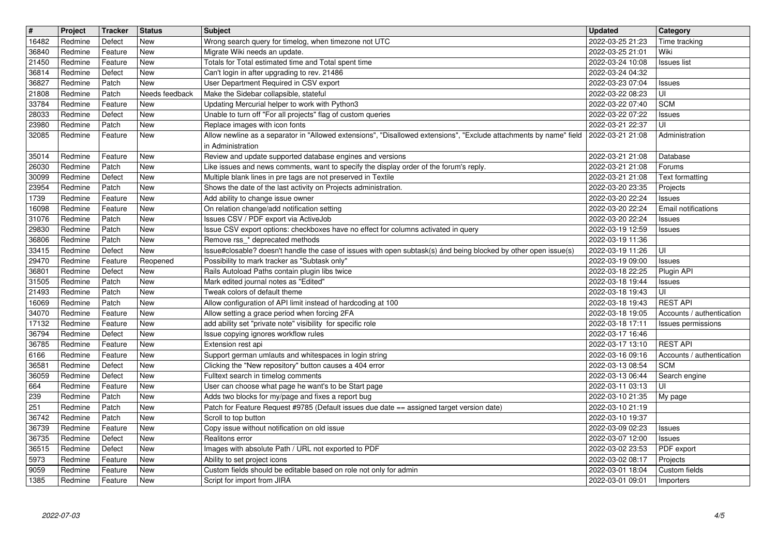| $\sqrt{t}$     | Project            | <b>Tracker</b>     | Status                   | Subject                                                                                                                                                          | <b>Updated</b>                       | Category                                     |
|----------------|--------------------|--------------------|--------------------------|------------------------------------------------------------------------------------------------------------------------------------------------------------------|--------------------------------------|----------------------------------------------|
| 16482          | Redmine            | Defect             | <b>New</b>               | Wrong search query for timelog, when timezone not UTC                                                                                                            | 2022-03-25 21:23                     | Time tracking                                |
| 36840<br>21450 | Redmine<br>Redmine | Feature<br>Feature | <b>New</b><br><b>New</b> | Migrate Wiki needs an update.<br>Totals for Total estimated time and Total spent time                                                                            | 2022-03-25 21:01<br>2022-03-24 10:08 | Wiki<br><b>Issues</b> list                   |
| 36814          | Redmine            | Defect             | <b>New</b>               | Can't login in after upgrading to rev. 21486                                                                                                                     | 2022-03-24 04:32                     |                                              |
| 36827          | Redmine            | Patch              | <b>New</b>               | User Department Required in CSV export                                                                                                                           | 2022-03-23 07:04                     | <b>Issues</b>                                |
| 21808          | Redmine            | Patch              | Needs feedback           | Make the Sidebar collapsible, stateful                                                                                                                           | 2022-03-22 08:23                     | UI                                           |
| 33784<br>28033 | Redmine<br>Redmine | Feature<br>Defect  | <b>New</b><br><b>New</b> | Updating Mercurial helper to work with Python3<br>Unable to turn off "For all projects" flag of custom queries                                                   | 2022-03-22 07:40<br>2022-03-22 07:22 | <b>SCM</b><br><b>Issues</b>                  |
| 23980          | Redmine            | Patch              | New                      | Replace images with icon fonts                                                                                                                                   | 2022-03-21 22:37                     | UI                                           |
| 32085          | Redmine            | Feature            | <b>New</b>               | Allow newline as a separator in "Allowed extensions", "Disallowed extensions", "Exclude attachments by name" field   2022-03-21 21:08                            |                                      | Administration                               |
|                |                    |                    |                          | in Administration                                                                                                                                                |                                      |                                              |
| 35014<br>26030 | Redmine<br>Redmine | Feature<br>Patch   | <b>New</b><br>New        | Review and update supported database engines and versions<br>Like issues and news comments, want to specify the display order of the forum's reply.              | 2022-03-21 21:08<br>2022-03-21 21:08 | Database<br>Forums                           |
| 30099          | Redmine            | Defect             | <b>New</b>               | Multiple blank lines in pre tags are not preserved in Textile                                                                                                    | 2022-03-21 21:08                     | Text formatting                              |
| 23954          | Redmine            | Patch              | <b>New</b>               | Shows the date of the last activity on Projects administration.                                                                                                  | 2022-03-20 23:35                     | Projects                                     |
| 1739<br>16098  | Redmine<br>Redmine | Feature<br>Feature | <b>New</b><br><b>New</b> | Add ability to change issue owner<br>On relation change/add notification setting                                                                                 | 2022-03-20 22:24<br>2022-03-20 22:24 | <b>Issues</b><br>Email notifications         |
| 31076          | Redmine            | Patch              | New                      | Issues CSV / PDF export via ActiveJob                                                                                                                            | 2022-03-20 22:24                     | <b>Issues</b>                                |
| 29830          | Redmine            | Patch              | New                      | Issue CSV export options: checkboxes have no effect for columns activated in query                                                                               | 2022-03-19 12:59                     | <b>Issues</b>                                |
| 36806          | Redmine            | Patch              | <b>New</b>               | Remove rss_* deprecated methods                                                                                                                                  | 2022-03-19 11:36                     |                                              |
| 33415<br>29470 | Redmine<br>Redmine | Defect<br>Feature  | <b>New</b><br>Reopened   | Issue#closable? doesn't handle the case of issues with open subtask(s) ánd being blocked by other open issue(s)<br>Possibility to mark tracker as "Subtask only" | 2022-03-19 11:26<br>2022-03-19 09:00 | UI<br><b>Issues</b>                          |
| 36801          | Redmine            | Defect             | <b>New</b>               | Rails Autoload Paths contain plugin libs twice                                                                                                                   | 2022-03-18 22:25                     | Plugin API                                   |
| 31505          | Redmine            | Patch              | <b>New</b>               | Mark edited journal notes as "Edited"                                                                                                                            | 2022-03-18 19:44                     | <b>Issues</b>                                |
| 21493          | Redmine            | Patch              | <b>New</b>               | Tweak colors of default theme                                                                                                                                    | 2022-03-18 19:43                     | UI                                           |
| 16069<br>34070 | Redmine<br>Redmine | Patch<br>Feature   | <b>New</b><br><b>New</b> | Allow configuration of API limit instead of hardcoding at 100<br>Allow setting a grace period when forcing 2FA                                                   | 2022-03-18 19:43<br>2022-03-18 19:05 | <b>REST API</b><br>Accounts / authentication |
| 17132          | Redmine            | Feature            | <b>New</b>               | add ability set "private note" visibility for specific role                                                                                                      | 2022-03-18 17:11                     | Issues permissions                           |
| 36794          | Redmine            | Defect             | <b>New</b>               | Issue copying ignores workflow rules                                                                                                                             | 2022-03-17 16:46                     |                                              |
| 36785          | Redmine            | Feature            | <b>New</b>               | Extension rest api                                                                                                                                               | 2022-03-17 13:10                     | <b>REST API</b>                              |
| 6166<br>36581  | Redmine<br>Redmine | Feature<br>Defect  | <b>New</b><br><b>New</b> | Support german umlauts and whitespaces in login string<br>Clicking the "New repository" button causes a 404 error                                                | 2022-03-16 09:16<br>2022-03-13 08:54 | Accounts / authentication<br><b>SCM</b>      |
| 36059          | Redmine            | Defect             | <b>New</b>               | Fulltext search in timelog comments                                                                                                                              | 2022-03-13 06:44                     | Search engine                                |
| 664            | Redmine            | Feature            | <b>New</b>               | User can choose what page he want's to be Start page                                                                                                             | 2022-03-11 03:13                     | UI                                           |
| 239            | Redmine            | Patch              | <b>New</b>               | Adds two blocks for my/page and fixes a report bug                                                                                                               | 2022-03-10 21:35                     | My page                                      |
| 251<br>36742   | Redmine<br>Redmine | Patch<br>Patch     | <b>New</b><br><b>New</b> | Patch for Feature Request #9785 (Default issues due date == assigned target version date)<br>Scroll to top button                                                | 2022-03-10 21:19<br>2022-03-10 19:37 |                                              |
| 36739          | Redmine            | Feature            | New                      | Copy issue without notification on old issue                                                                                                                     | 2022-03-09 02:23                     | <b>Issues</b>                                |
| 36735          | Redmine            | Defect             | New                      | Realitons error                                                                                                                                                  | 2022-03-07 12:00                     | Issues                                       |
| 36515          | Redmine            | Defect             | <b>New</b>               | Images with absolute Path / URL not exported to PDF                                                                                                              | 2022-03-02 23:53                     | PDF export                                   |
| 5973<br>9059   | Redmine<br>Redmine | Feature<br>Feature | New<br>New               | Ability to set project icons<br>Custom fields should be editable based on role not only for admin                                                                | 2022-03-02 08:17<br>2022-03-01 18:04 | Projects<br>Custom fields                    |
| 1385           | Redmine            | Feature            | New                      | Script for import from JIRA                                                                                                                                      | 2022-03-01 09:01                     | Importers                                    |
|                |                    |                    |                          |                                                                                                                                                                  |                                      |                                              |
|                |                    |                    |                          |                                                                                                                                                                  |                                      |                                              |
|                |                    |                    |                          |                                                                                                                                                                  |                                      |                                              |
|                |                    |                    |                          |                                                                                                                                                                  |                                      |                                              |
|                |                    |                    |                          |                                                                                                                                                                  |                                      |                                              |
|                |                    |                    |                          |                                                                                                                                                                  |                                      |                                              |
|                |                    |                    |                          |                                                                                                                                                                  |                                      |                                              |
|                |                    |                    |                          |                                                                                                                                                                  |                                      |                                              |
|                |                    |                    |                          |                                                                                                                                                                  |                                      |                                              |
|                |                    |                    |                          |                                                                                                                                                                  |                                      |                                              |
|                |                    |                    |                          |                                                                                                                                                                  |                                      |                                              |
|                |                    |                    |                          |                                                                                                                                                                  |                                      |                                              |
|                |                    |                    |                          |                                                                                                                                                                  |                                      |                                              |
|                |                    |                    |                          |                                                                                                                                                                  |                                      |                                              |
|                |                    |                    |                          |                                                                                                                                                                  |                                      |                                              |
|                |                    |                    |                          |                                                                                                                                                                  |                                      |                                              |
|                |                    |                    |                          |                                                                                                                                                                  |                                      |                                              |
|                |                    |                    |                          |                                                                                                                                                                  |                                      |                                              |
|                |                    |                    |                          |                                                                                                                                                                  |                                      |                                              |
|                |                    |                    |                          |                                                                                                                                                                  |                                      |                                              |
|                |                    |                    |                          |                                                                                                                                                                  |                                      |                                              |
|                |                    |                    |                          |                                                                                                                                                                  |                                      |                                              |
|                |                    |                    |                          |                                                                                                                                                                  |                                      |                                              |
|                |                    |                    |                          |                                                                                                                                                                  |                                      |                                              |
|                |                    |                    |                          |                                                                                                                                                                  |                                      |                                              |